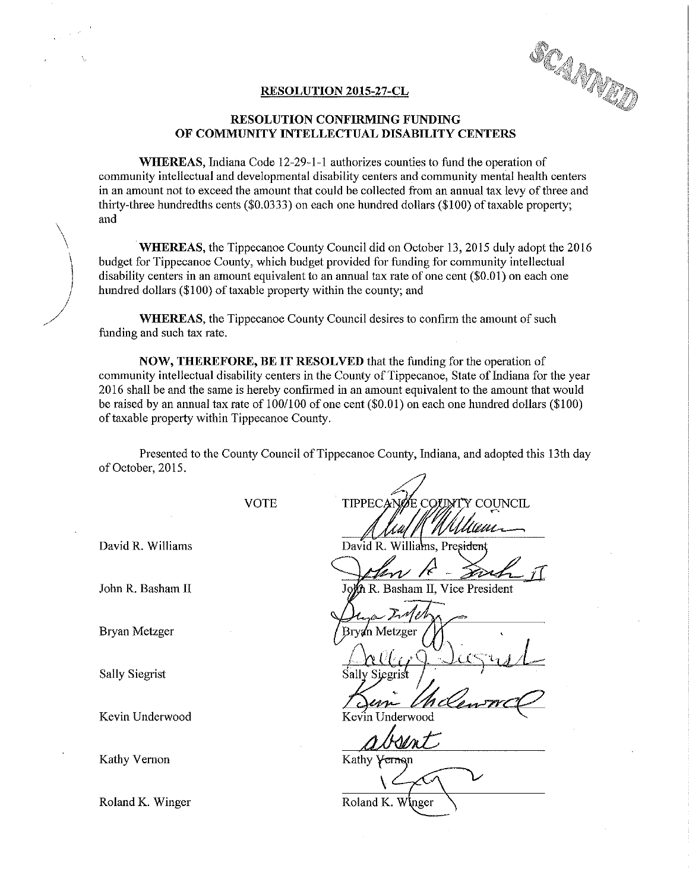SCAMPIO

## RESOLUTION 2015-27-CL

## RESOLUTION CONFIRMING FUNDING OF COMMUNITY INTELLECTUAL DISABILITY CENTERS

WHEREAS, Indiana Code 12-29—1-1 authorizes counties to fund the operation of community intellectual and developmental disability centers and community mental health centers in an amount not to exceed the amount that could be collected from an annual tax levy of three and thirty-three hundredths cents (\$0.0333) on each one hundred dollars (\$100) of taxable property; and

WHEREAS, the Tippecanoe County Council did on October 13, 2015 duly adopt the 2016 budget for Tippecanoe County, which budget provided for funding for community intellectual disability centers in an amount equivalent to an annual tax rate of one cent(\$0.01) on each one hundred dollars (\$100) of taxable property within the county; and

WHEREAS, the Tippecanoe County Council desires to confirm the amount of such funding and such tax rate.

NOW, THEREFORE, BE IT RESOLVED that the funding for the operation of community intellectual disability centers in the County of Tippecanoe, State of Indiana forthe year 2016 shall be and the same is hereby confirmed in an amount equivalent to the amount that would be raised by an annual tax rate of 100/100 of one cent (\$0.01) on each one hundred dollars (\$100) of taxable property within Tippecanoe County.

Presented to the County Council of Tippecanoe County, Indiana, and adopted this 13th day of October, 2015.

Bryan Metzger

Sally Siegrist

Kevin Underwood

VOTE TIPPECANOE COUNTY COUNCIL

David R. Williams David R. Williams, President

John R-Sach I

John R. Basham II John R. Basham II, Vice President

'a'n Metzeer

 $L$ relig $Q$  Surgus $L$ 

Kathy Vernon Kathy Vernon  $\sqrt{2\pi}$ 

Roland K. Winger Roland K. White